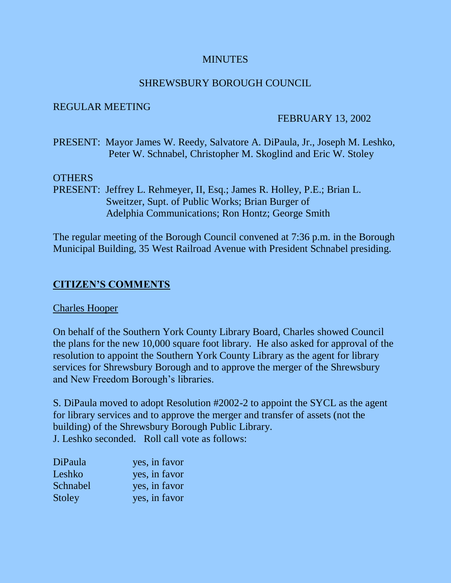#### **MINUTES**

#### SHREWSBURY BOROUGH COUNCIL

#### REGULAR MEETING

#### FEBRUARY 13, 2002

PRESENT: Mayor James W. Reedy, Salvatore A. DiPaula, Jr., Joseph M. Leshko, Peter W. Schnabel, Christopher M. Skoglind and Eric W. Stoley

#### OTHERS

PRESENT: Jeffrey L. Rehmeyer, II, Esq.; James R. Holley, P.E.; Brian L. Sweitzer, Supt. of Public Works; Brian Burger of Adelphia Communications; Ron Hontz; George Smith

The regular meeting of the Borough Council convened at 7:36 p.m. in the Borough Municipal Building, 35 West Railroad Avenue with President Schnabel presiding.

## **CITIZEN'S COMMENTS**

#### Charles Hooper

On behalf of the Southern York County Library Board, Charles showed Council the plans for the new 10,000 square foot library. He also asked for approval of the resolution to appoint the Southern York County Library as the agent for library services for Shrewsbury Borough and to approve the merger of the Shrewsbury and New Freedom Borough's libraries.

S. DiPaula moved to adopt Resolution #2002-2 to appoint the SYCL as the agent for library services and to approve the merger and transfer of assets (not the building) of the Shrewsbury Borough Public Library. J. Leshko seconded. Roll call vote as follows:

| DiPaula  | yes, in favor |
|----------|---------------|
| Leshko   | yes, in favor |
| Schnabel | yes, in favor |
| Stoley   | yes, in favor |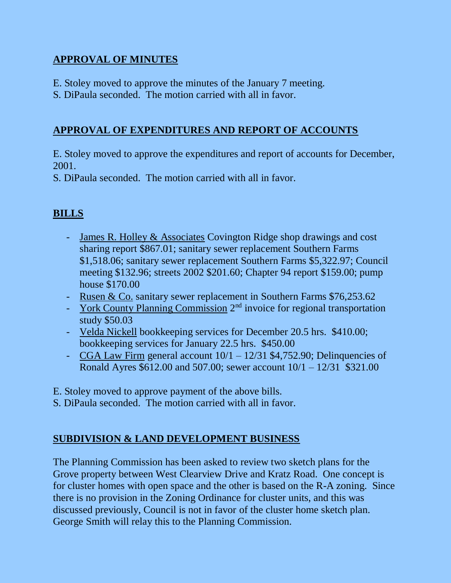## **APPROVAL OF MINUTES**

- E. Stoley moved to approve the minutes of the January 7 meeting.
- S. DiPaula seconded. The motion carried with all in favor.

## **APPROVAL OF EXPENDITURES AND REPORT OF ACCOUNTS**

E. Stoley moved to approve the expenditures and report of accounts for December, 2001.

S. DiPaula seconded. The motion carried with all in favor.

# **BILLS**

- James R. Holley & Associates Covington Ridge shop drawings and cost sharing report \$867.01; sanitary sewer replacement Southern Farms \$1,518.06; sanitary sewer replacement Southern Farms \$5,322.97; Council meeting \$132.96; streets 2002 \$201.60; Chapter 94 report \$159.00; pump house \$170.00
- Rusen & Co. sanitary sewer replacement in Southern Farms \$76,253.62
- York County Planning Commission 2<sup>nd</sup> invoice for regional transportation study \$50.03
- Velda Nickell bookkeeping services for December 20.5 hrs. \$410.00; bookkeeping services for January 22.5 hrs. \$450.00
- CGA Law Firm general account 10/1 12/31 \$4,752.90; Delinquencies of Ronald Ayres \$612.00 and 507.00; sewer account 10/1 – 12/31 \$321.00
- E. Stoley moved to approve payment of the above bills.
- S. DiPaula seconded. The motion carried with all in favor.

# **SUBDIVISION & LAND DEVELOPMENT BUSINESS**

The Planning Commission has been asked to review two sketch plans for the Grove property between West Clearview Drive and Kratz Road. One concept is for cluster homes with open space and the other is based on the R-A zoning. Since there is no provision in the Zoning Ordinance for cluster units, and this was discussed previously, Council is not in favor of the cluster home sketch plan. George Smith will relay this to the Planning Commission.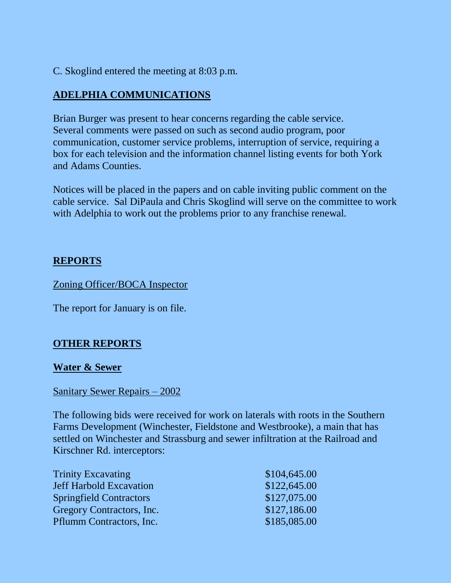C. Skoglind entered the meeting at 8:03 p.m.

# **ADELPHIA COMMUNICATIONS**

Brian Burger was present to hear concerns regarding the cable service. Several comments were passed on such as second audio program, poor communication, customer service problems, interruption of service, requiring a box for each television and the information channel listing events for both York and Adams Counties.

Notices will be placed in the papers and on cable inviting public comment on the cable service. Sal DiPaula and Chris Skoglind will serve on the committee to work with Adelphia to work out the problems prior to any franchise renewal.

## **REPORTS**

Zoning Officer/BOCA Inspector

The report for January is on file.

## **OTHER REPORTS**

## **Water & Sewer**

## Sanitary Sewer Repairs – 2002

The following bids were received for work on laterals with roots in the Southern Farms Development (Winchester, Fieldstone and Westbrooke), a main that has settled on Winchester and Strassburg and sewer infiltration at the Railroad and Kirschner Rd. interceptors:

| \$104,645.00 |
|--------------|
| \$122,645.00 |
| \$127,075.00 |
| \$127,186.00 |
| \$185,085.00 |
|              |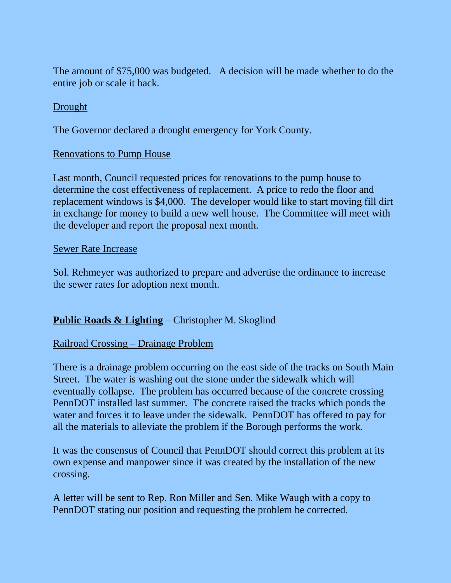The amount of \$75,000 was budgeted. A decision will be made whether to do the entire job or scale it back.

#### **Drought**

The Governor declared a drought emergency for York County.

#### Renovations to Pump House

Last month, Council requested prices for renovations to the pump house to determine the cost effectiveness of replacement. A price to redo the floor and replacement windows is \$4,000. The developer would like to start moving fill dirt in exchange for money to build a new well house. The Committee will meet with the developer and report the proposal next month.

#### Sewer Rate Increase

Sol. Rehmeyer was authorized to prepare and advertise the ordinance to increase the sewer rates for adoption next month.

## **Public Roads & Lighting** – Christopher M. Skoglind

## Railroad Crossing – Drainage Problem

There is a drainage problem occurring on the east side of the tracks on South Main Street. The water is washing out the stone under the sidewalk which will eventually collapse. The problem has occurred because of the concrete crossing PennDOT installed last summer. The concrete raised the tracks which ponds the water and forces it to leave under the sidewalk. PennDOT has offered to pay for all the materials to alleviate the problem if the Borough performs the work.

It was the consensus of Council that PennDOT should correct this problem at its own expense and manpower since it was created by the installation of the new crossing.

A letter will be sent to Rep. Ron Miller and Sen. Mike Waugh with a copy to PennDOT stating our position and requesting the problem be corrected.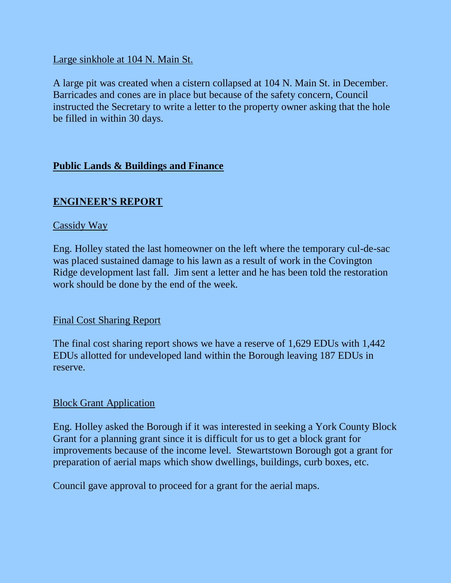Large sinkhole at 104 N. Main St.

A large pit was created when a cistern collapsed at 104 N. Main St. in December. Barricades and cones are in place but because of the safety concern, Council instructed the Secretary to write a letter to the property owner asking that the hole be filled in within 30 days.

## **Public Lands & Buildings and Finance**

## **ENGINEER'S REPORT**

#### Cassidy Way

Eng. Holley stated the last homeowner on the left where the temporary cul-de-sac was placed sustained damage to his lawn as a result of work in the Covington Ridge development last fall. Jim sent a letter and he has been told the restoration work should be done by the end of the week.

## Final Cost Sharing Report

The final cost sharing report shows we have a reserve of 1,629 EDUs with 1,442 EDUs allotted for undeveloped land within the Borough leaving 187 EDUs in reserve.

## Block Grant Application

Eng. Holley asked the Borough if it was interested in seeking a York County Block Grant for a planning grant since it is difficult for us to get a block grant for improvements because of the income level. Stewartstown Borough got a grant for preparation of aerial maps which show dwellings, buildings, curb boxes, etc.

Council gave approval to proceed for a grant for the aerial maps.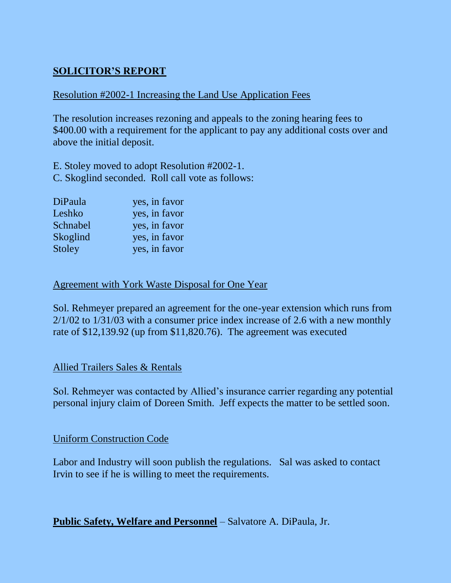## **SOLICITOR'S REPORT**

## Resolution #2002-1 Increasing the Land Use Application Fees

The resolution increases rezoning and appeals to the zoning hearing fees to \$400.00 with a requirement for the applicant to pay any additional costs over and above the initial deposit.

E. Stoley moved to adopt Resolution #2002-1. C. Skoglind seconded. Roll call vote as follows:

| DiPaula  | yes, in favor |
|----------|---------------|
| Leshko   | yes, in favor |
| Schnabel | yes, in favor |
| Skoglind | yes, in favor |
| Stoley   | yes, in favor |

#### Agreement with York Waste Disposal for One Year

Sol. Rehmeyer prepared an agreement for the one-year extension which runs from 2/1/02 to 1/31/03 with a consumer price index increase of 2.6 with a new monthly rate of \$12,139.92 (up from \$11,820.76). The agreement was executed

#### Allied Trailers Sales & Rentals

Sol. Rehmeyer was contacted by Allied's insurance carrier regarding any potential personal injury claim of Doreen Smith. Jeff expects the matter to be settled soon.

#### Uniform Construction Code

Labor and Industry will soon publish the regulations. Sal was asked to contact Irvin to see if he is willing to meet the requirements.

**Public Safety, Welfare and Personnel** – Salvatore A. DiPaula, Jr.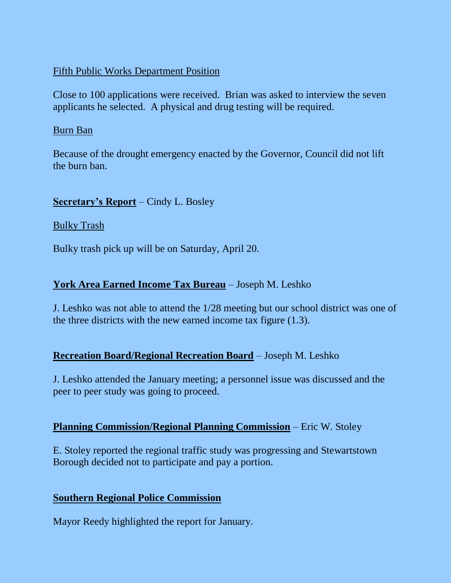## Fifth Public Works Department Position

Close to 100 applications were received. Brian was asked to interview the seven applicants he selected. A physical and drug testing will be required.

#### Burn Ban

Because of the drought emergency enacted by the Governor, Council did not lift the burn ban.

## **Secretary's Report** – Cindy L. Bosley

Bulky Trash

Bulky trash pick up will be on Saturday, April 20.

## **York Area Earned Income Tax Bureau** – Joseph M. Leshko

J. Leshko was not able to attend the 1/28 meeting but our school district was one of the three districts with the new earned income tax figure (1.3).

## **Recreation Board/Regional Recreation Board** – Joseph M. Leshko

J. Leshko attended the January meeting; a personnel issue was discussed and the peer to peer study was going to proceed.

## **Planning Commission/Regional Planning Commission** – Eric W. Stoley

E. Stoley reported the regional traffic study was progressing and Stewartstown Borough decided not to participate and pay a portion.

## **Southern Regional Police Commission**

Mayor Reedy highlighted the report for January.